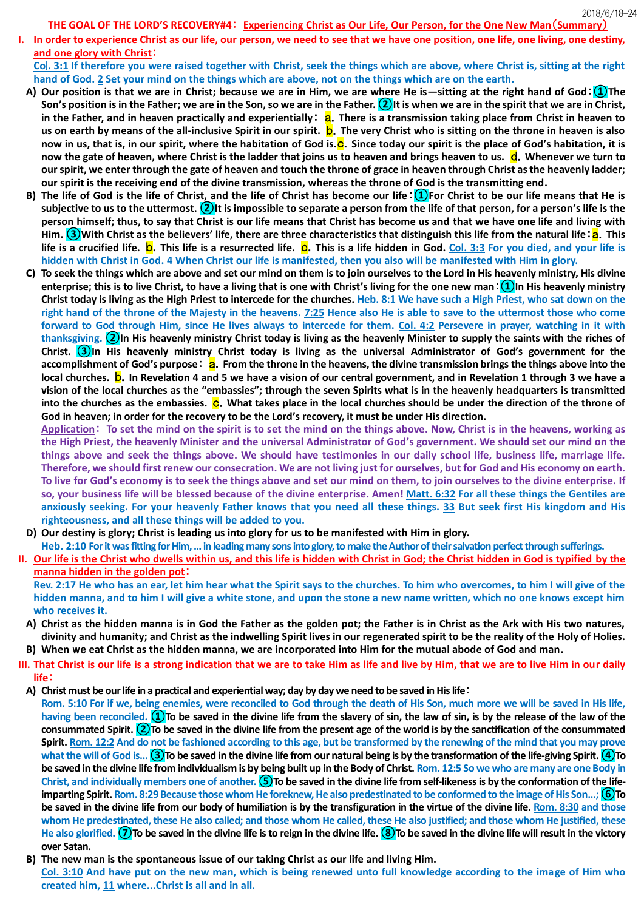**THE GOAL OF THE LORD'S RECOVERY#4**: **Experiencing Christ as Our Life, Our Person, for the One New Man**(**Summary**)

**I. In order to experience Christ as our life, our person, we need to see that we have one position, one life, one living, one destiny, and one glory with Christ**:

**Co**l**. 3:1 If therefore you were raised together with Christ, seek the things which are above, where Christ is, sitting at the right hand of God. 2 Set your mind on the things which are above, not on the things which are on the earth.**

- **A) Our position is that we are in Christ; because we are in Him, we are where He is—sitting at the right hand of God**:**①The Son's position is in the Father; we are in the Son, so we are in the Father. ②It is when we are in the spirit that we are in Christ, in the Father, and in heaven practically and experientially: <b>a.** There is a transmission taking place from Christ in heaven to **us on earth by means of the all-inclusive Spirit in our spirit.** b.**The very Christ who is sitting on the throne in heaven is also now in us, that is, in our spirit, where the habitation of God is.<sup>C</sup>. Since today our spirit is the place of God's habitation, it is now the gate of heaven, where Christ is the ladder that joins us to heaven and brings heaven to us.** d.**Whenever we turn to our spirit, we enter through the gate of heaven and touch the throne of grace in heaven through Christ as the heavenly ladder; our spirit is the receiving end of the divine transmission, whereas the throne of God is the transmitting end.**
- **B) The life of God is the life of Christ, and the life of Christ has become our life**:**①For Christ to be our life means that He is subjective to us to the uttermost. ②It is impossible to separate a person from the life of that person, for a person's life is the person himself; thus, to say that Christ is our life means that Christ has become us and that we have one life and living with Him.** (3) With Christ as the believers' life, there are three characteristics that distinguish this life from the natural life : a. This life is a crucified life. **b**. This life is a resurrected life. **C**. This is a life hidden in God. Col. 3:3 For you died, and your life is **hidden with Christ in God. 4 When Christ our life is manifested, then you also will be manifested with Him in glory.**
- **C) To seek the things which are above and set our mind on them is to join ourselves to the Lord in His heavenly ministry, His divine enterprise; this is to live Christ, to have a living that is one with Christ's living for the one new man**:**①In His heavenly ministry Christ today is living as the High Priest to intercede for the churches. Heb. 8:1 We have such a High Priest, who sat down on the right hand of the throne of the Majesty in the heavens. 7:25 Hence also He is able to save to the uttermost those who come forward to God through Him, since He lives always to intercede for them. Col. 4:2 Persevere in prayer, watching in it with thanksgiving. ②In His heavenly ministry Christ today is living as the heavenly Minister to supply the saints with the riches of Christ. ③In His heavenly ministry Christ today is living as the universal Administrator of God's government for the**  accomplishment of God's purpose: a. From the throne in the heavens, the divine transmission brings the things above into the **local churches.** b.**In Revelation 4 and 5 we have a vision of our central government, and in Revelation 1 through 3 we have a vision of the local churches as the "embassies"; through the seven Spirits what is in the heavenly headquarters is transmitted into the churches as the embassies. C.** What takes place in the local churches should be under the direction of the throne of **God in heaven; in order for the recovery to be the Lord's recovery, it must be under His direction.**

**Application**: **To set the mind on the spirit is to set the mind on the things above. Now, Christ is in the heavens, working as the High Priest, the heavenly Minister and the universal Administrator of God's government. We should set our mind on the things above and seek the things above. We should have testimonies in our daily school life, business life, marriage life. Therefore, we should first renew our consecration. We are not living just for ourselves, but for God and His economy on earth. To live for God's economy is to seek the things above and set our mind on them, to join ourselves to the divine enterprise. If so, your business life will be blessed because of the divine enterprise. Amen! Matt. 6:32 For all these things the Gentiles are anxiously seeking. For your heavenly Father knows that you need all these things. 33 But seek first His kingdom and His righteousness, and all these things will be added to you.**

**D) Our destiny is glory; Christ is leading us into glory for us to be manifested with Him in glory.**

**Heb. 2:10 For it was fitting for Him, ... in leading many sons into glory, to make the Author of their salvation perfect through sufferings.**

**II. Our life is the Christ who dwells within us, and this life is hidden with Christ in God; the Christ hidden in God is typified by the manna hidden in the golden pot**:

**Rev. 2:17 He who has an ear, let him hear what the Spirit says to the churches. To him who overcomes, to him I will give of the hidden manna, and to him I will give a white stone, and upon the stone a new name written, which no one knows except him who receives it.**

- **A) Christ as the hidden manna is in God the Father as the golden pot; the Father is in Christ as the Ark with His two natures, divinity and humanity; and Christ as the indwelling Spirit lives in our regenerated spirit to be the reality of the Holy of Holies.**
- **B) When** we **eat Christ as the hidden manna, we are incorporated into Him for the mutual abode of God and man.**
- **III. That Christ is our life is a strong indication that we are to take Him as life and live by Him, that we are to live Him in our daily life**:
	- **A) Christ must be our life in a practical and experiential way; day by day we need to be saved in His life**:

**Rom. 5:10 For if we, being enemies, were reconciled to God through the death of His Son, much more we will be saved in His life,**  having been reconciled. (1) To be saved in the divine life from the slavery of sin, the law of sin, is by the release of the law of the **consummated Spirit. ②To be saved in the divine life from the present age of the world is by the sanctification of the consummated Spirit. Rom. 12:2 And do not be fashioned according to this age, but be transformed by the renewing of the mind that you may prove**  what the will of God is... **3**To be saved in the divine life from our natural being is by the transformation of the life-giving Spirit. (4)To **be saved in the divine life from individualism is by being built up in the Body of Christ. Rom. 12:5 So we who are many are one Body in Christ, and individually members one of another. ⑤To be saved in the divine life from self-likeness is by the conformation of the lifeimparting Spirit. Rom. 8:29 Because those whom He foreknew, He also predestinated to be conformed to the image of His Son...; 6) To be saved in the divine life from our body of humiliation is by the transfiguration in the virtue of the divine life. Rom. 8:30 and those whom He predestinated, these He also called; and those whom He called, these He also justified; and those whom He justified, these**  He also glorified. ⑦To be saved in the divine life is to reign in the divine life. **⑧To** be saved in the divine life will result in the victory **over Satan.**

**B) The new man is the spontaneous issue of our taking Christ as our life and living Him.**

**Col. 3:10 And have put on the new man, which is being renewed unto full knowledge according to the image of Him who created him, 11 where...Christ is all and in all.**